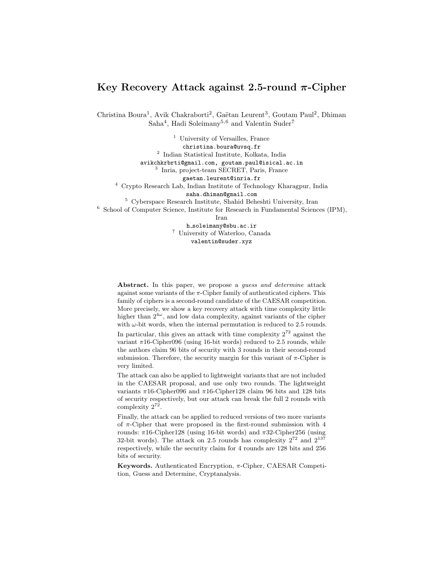# Key Recovery Attack against 2.5-round  $\pi$ -Cipher

Christina Boura<sup>1</sup>, Avik Chakraborti<sup>2</sup>, Gaëtan Leurent<sup>3</sup>, Goutam Paul<sup>2</sup>, Dhiman Saha<sup>4</sup>, Hadi Soleimany<sup>5,6</sup> and Valentin Suder<sup>7</sup>

<sup>1</sup> University of Versailles, France christina.boura@uvsq.fr 2 Indian Statistical Institute, Kolkata, India avikchkrbrti@gmail.com, goutam.paul@isical.ac.in 3 Inria, project-team SECRET, Paris, France gaetan.leurent@inria.fr <sup>4</sup> Crypto Research Lab, Indian Institute of Technology Kharagpur, India saha.dhiman@gmail.com <sup>5</sup> Cyberspace Research Institute, Shahid Beheshti University, Iran <sup>6</sup> School of Computer Science, Institute for Research in Fundamental Sciences (IPM), Iran

h soleimany@sbu.ac.ir <sup>7</sup> University of Waterloo, Canada valentin@suder.xyz

Abstract. In this paper, we propose a *guess and determine* attack against some variants of the  $\pi$ -Cipher family of authenticated ciphers. This family of ciphers is a second-round candidate of the CAESAR competition. More precisely, we show a key recovery attack with time complexity little higher than  $2^{4\omega}$ , and low data complexity, against variants of the cipher with  $\omega$ -bit words, when the internal permutation is reduced to 2.5 rounds. In particular, this gives an attack with time complexity  $2^{72}$  against the variant  $\pi$ 16-Cipher096 (using 16-bit words) reduced to 2.5 rounds, while the authors claim 96 bits of security with 3 rounds in their second-round submission. Therefore, the security margin for this variant of  $\pi$ -Cipher is very limited.

The attack can also be applied to lightweight variants that are not included in the CAESAR proposal, and use only two rounds. The lightweight variants  $\pi$ 16-Cipher096 and  $\pi$ 16-Cipher128 claim 96 bits and 128 bits of security respectively, but our attack can break the full 2 rounds with complexity  $2^{72}$ .

Finally, the attack can be applied to reduced versions of two more variants of  $\pi$ -Cipher that were proposed in the first-round submission with 4 rounds: π16-Cipher128 (using 16-bit words) and π32-Cipher256 (using 32-bit words). The attack on 2.5 rounds has complexity  $2^{72}$  and  $2^{137}$ respectively, while the security claim for 4 rounds are 128 bits and 256 bits of security.

Keywords. Authenticated Encryption,  $\pi$ -Cipher, CAESAR Competition, Guess and Determine, Cryptanalysis.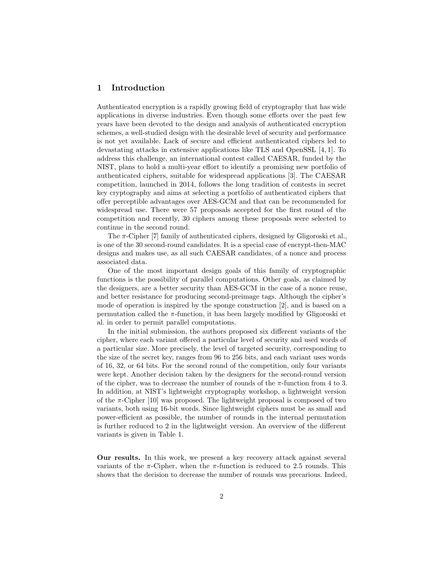## 1 Introduction

Authenticated encryption is a rapidly growing field of cryptography that has wide applications in diverse industries. Even though some efforts over the past few years have been devoted to the design and analysis of authenticated encryption schemes, a well-studied design with the desirable level of security and performance is not yet available. Lack of secure and efficient authenticated ciphers led to devastating attacks in extensive applications like TLS and OpenSSL [4, 1]. To address this challenge, an international contest called CAESAR, funded by the NIST, plans to hold a multi-year effort to identify a promising new portfolio of authenticated ciphers, suitable for widespread applications [3]. The CAESAR competition, launched in 2014, follows the long tradition of contests in secret key cryptography and aims at selecting a portfolio of authenticated ciphers that offer perceptible advantages over AES-GCM and that can be recommended for widespread use. There were 57 proposals accepted for the first round of the competition and recently, 30 ciphers among these proposals were selected to continue in the second round.

The  $\pi$ -Cipher [7] family of authenticated ciphers, designed by Gligoroski et al., is one of the 30 second-round candidates. It is a special case of encrypt-then-MAC designs and makes use, as all such CAESAR candidates, of a nonce and process associated data.

One of the most important design goals of this family of cryptographic functions is the possibility of parallel computations. Other goals, as claimed by the designers, are a better security than AES-GCM in the case of a nonce reuse, and better resistance for producing second-preimage tags. Although the cipher's mode of operation is inspired by the sponge construction [2], and is based on a permutation called the  $\pi$ -function, it has been largely modified by Gligoroski et al. in order to permit parallel computations.

In the initial submission, the authors proposed six different variants of the cipher, where each variant offered a particular level of security and used words of a particular size. More precisely, the level of targeted security, corresponding to the size of the secret key, ranges from 96 to 256 bits, and each variant uses words of 16, 32, or 64 bits. For the second round of the competition, only four variants were kept. Another decision taken by the designers for the second-round version of the cipher, was to decrease the number of rounds of the  $\pi$ -function from 4 to 3. In addition, at NIST's lightweight cryptography workshop, a lightweight version of the  $\pi$ -Cipher [10] was proposed. The lightweight proposal is composed of two variants, both using 16-bit words. Since lightweight ciphers must be as small and power-efficient as possible, the number of rounds in the internal permutation is further reduced to 2 in the lightweight version. An overview of the different variants is given in Table 1.

Our results. In this work, we present a key recovery attack against several variants of the  $\pi$ -Cipher, when the  $\pi$ -function is reduced to 2.5 rounds. This shows that the decision to decrease the number of rounds was precarious. Indeed,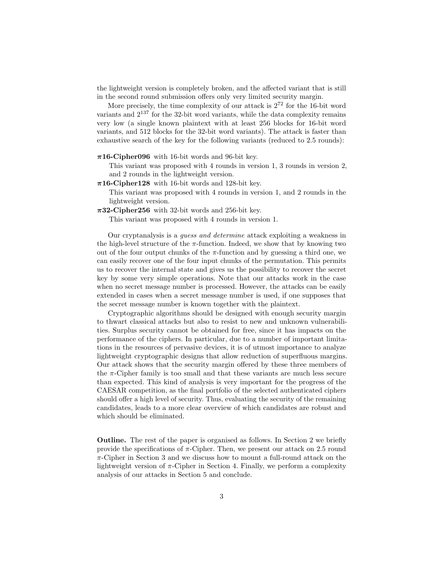the lightweight version is completely broken, and the affected variant that is still in the second round submission offers only very limited security margin.

More precisely, the time complexity of our attack is  $2^{72}$  for the 16-bit word variants and 2<sup>137</sup> for the 32-bit word variants, while the data complexity remains very low (a single known plaintext with at least 256 blocks for 16-bit word variants, and 512 blocks for the 32-bit word variants). The attack is faster than exhaustive search of the key for the following variants (reduced to 2.5 rounds):

#### $\pi$ 16-Cipher096 with 16-bit words and 96-bit key.

This variant was proposed with 4 rounds in version 1, 3 rounds in version 2, and 2 rounds in the lightweight version.

 $\pi$ 16-Cipher128 with 16-bit words and 128-bit key.

This variant was proposed with 4 rounds in version 1, and 2 rounds in the lightweight version.

 $\pi$ 32-Cipher256 with 32-bit words and 256-bit key.

This variant was proposed with 4 rounds in version 1.

Our cryptanalysis is a guess and determine attack exploiting a weakness in the high-level structure of the  $\pi$ -function. Indeed, we show that by knowing two out of the four output chunks of the  $\pi$ -function and by guessing a third one, we can easily recover one of the four input chunks of the permutation. This permits us to recover the internal state and gives us the possibility to recover the secret key by some very simple operations. Note that our attacks work in the case when no secret message number is processed. However, the attacks can be easily extended in cases when a secret message number is used, if one supposes that the secret message number is known together with the plaintext.

Cryptographic algorithms should be designed with enough security margin to thwart classical attacks but also to resist to new and unknown vulnerabilities. Surplus security cannot be obtained for free, since it has impacts on the performance of the ciphers. In particular, due to a number of important limitations in the resources of pervasive devices, it is of utmost importance to analyze lightweight cryptographic designs that allow reduction of superfluous margins. Our attack shows that the security margin offered by these three members of the  $\pi$ -Cipher family is too small and that these variants are much less secure than expected. This kind of analysis is very important for the progress of the CAESAR competition, as the final portfolio of the selected authenticated ciphers should offer a high level of security. Thus, evaluating the security of the remaining candidates, leads to a more clear overview of which candidates are robust and which should be eliminated.

Outline. The rest of the paper is organised as follows. In Section 2 we briefly provide the specifications of  $\pi$ -Cipher. Then, we present our attack on 2.5 round  $\pi$ -Cipher in Section 3 and we discuss how to mount a full-round attack on the lightweight version of  $\pi$ -Cipher in Section 4. Finally, we perform a complexity analysis of our attacks in Section 5 and conclude.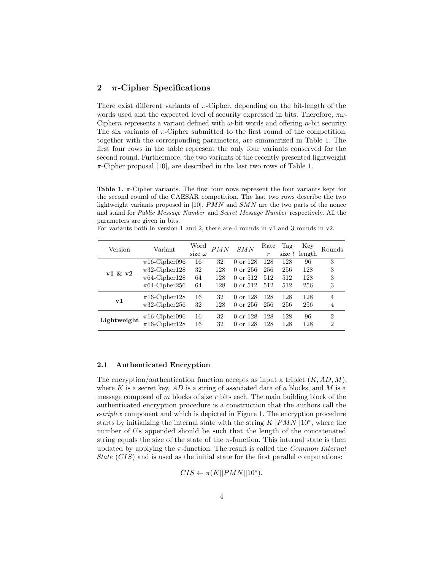## 2  $\pi$ -Cipher Specifications

There exist different variants of  $\pi$ -Cipher, depending on the bit-length of the words used and the expected level of security expressed in bits. Therefore,  $\pi\omega$ -Ciphern represents a variant defined with  $\omega$ -bit words and offering *n*-bit security. The six variants of  $\pi$ -Cipher submitted to the first round of the competition, together with the corresponding parameters, are summarized in Table 1. The first four rows in the table represent the only four variants conserved for the second round. Furthermore, the two variants of the recently presented lightweight  $\pi$ -Cipher proposal [10], are described in the last two rows of Table 1.

Table 1.  $\pi$ -Cipher variants. The first four rows represent the four variants kept for the second round of the CAESAR competition. The last two rows describe the two lightweight variants proposed in [10].  $PMN$  and  $SMN$  are the two parts of the nonce and stand for Public Message Number and Secret Message Number respectively. All the parameters are given in bits.

| Version     | Variant            | Word<br>size $\omega$ | PMN | SMN                 | Rate<br>$\boldsymbol{r}$ | Tag | Key<br>size $t$ length | Rounds         |
|-------------|--------------------|-----------------------|-----|---------------------|--------------------------|-----|------------------------|----------------|
| v1 & v2     | $\pi$ 16-Cipher096 | 16                    | 32  | 0 or 128            | 128                      | 128 | 96                     | 3              |
|             | $\pi$ 32-Cipher128 | 32                    | 128 | 0 or 256            | 256                      | 256 | 128                    | 3              |
|             | $\pi$ 64-Cipher128 | 64                    | 128 | 0 or 512            | 512                      | 512 | 128                    | 3              |
|             | $\pi$ 64-Cipher256 | 64                    | 128 | 0 or 512            | 512                      | 512 | 256                    | 3              |
| ${\bf v1}$  | $\pi$ 16-Cipher128 | 16                    | 32  | 0 or 128            | 128                      | 128 | 128                    | 4              |
|             | $\pi$ 32-Cipher256 | 32                    | 128 | 0 or 256            | 256                      | 256 | 256                    | 4              |
| Lightweight | $\pi$ 16-Cipher096 | 16                    | 32  | $0 \text{ or } 128$ | 128                      | 128 | 96                     | $\overline{2}$ |
|             | $\pi$ 16-Cipher128 | 16                    | 32  | $0 \text{ or } 128$ | 128                      | 128 | 128                    | $\overline{2}$ |

For variants both in version 1 and 2, there are 4 rounds in v1 and 3 rounds in v2.

#### 2.1 Authenticated Encryption

The encryption/authentication function accepts as input a triplet  $(K, AD, M)$ , where  $K$  is a secret key,  $AD$  is a string of associated data of  $a$  blocks, and  $M$  is a message composed of m blocks of size r bits each. The main building block of the authenticated encryption procedure is a construction that the authors call the e-triplex component and which is depicted in Figure 1. The encryption procedure starts by initializing the internal state with the string  $K||PMN||10^*$ , where the number of 0's appended should be such that the length of the concatenated string equals the size of the state of the  $\pi$ -function. This internal state is then updated by applying the  $\pi$ -function. The result is called the *Common Internal* State  $(CIS)$  and is used as the initial state for the first parallel computations:

 $CIS \leftarrow \pi(K||PMN||10^*)$ .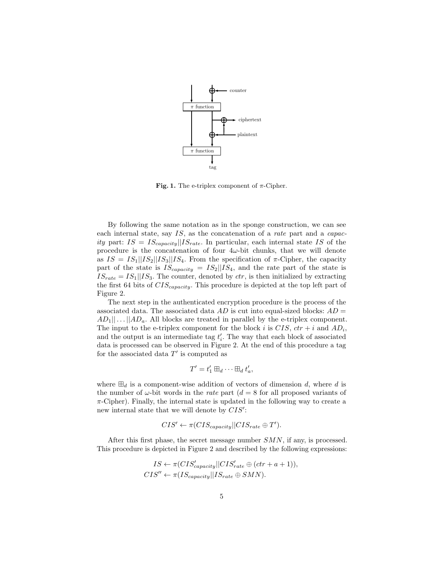

Fig. 1. The e-triplex component of  $\pi$ -Cipher.

By following the same notation as in the sponge construction, we can see each internal state, say IS, as the concatenation of a *rate* part and a *capac*ity part:  $IS = IS_{capacity}||IS_{rate}$ . In particular, each internal state IS of the procedure is the concatenation of four  $4\omega$ -bit chunks, that we will denote as  $IS = IS_1||IS_2||IS_3||IS_4$ . From the specification of  $\pi$ -Cipher, the capacity part of the state is  $IS_{capacity} = IS_2||IS_4$ , and the rate part of the state is  $IS_{rate} = IS_1||IS_3$ . The counter, denoted by *ctr*, is then initialized by extracting the first 64 bits of  $CIS_{capacity}$ . This procedure is depicted at the top left part of Figure 2.

The next step in the authenticated encryption procedure is the process of the associated data. The associated data  $AD$  is cut into equal-sized blocks:  $AD =$  $AD_1||...||AD_a$ . All blocks are treated in parallel by the e-triplex component. The input to the e-triplex component for the block i is  $CIS$ ,  $ctr + i$  and  $AD_i$ , and the output is an intermediate tag  $t_i'$ . The way that each block of associated data is processed can be observed in Figure 2. At the end of this procedure a tag for the associated data  $T'$  is computed as

$$
T' = t'_1 \boxplus_d \cdots \boxplus_d t'_a,
$$

where  $\boxplus_d$  is a component-wise addition of vectors of dimension d, where d is the number of  $\omega$ -bit words in the *rate* part ( $d = 8$  for all proposed variants of  $\pi$ -Cipher). Finally, the internal state is updated in the following way to create a new internal state that we will denote by  $CIS'$ :

$$
CIS' \leftarrow \pi(CIS_{capacity} || CIS_{rate} \oplus T').
$$

After this first phase, the secret message number  $SMN$ , if any, is processed. This procedure is depicted in Figure 2 and described by the following expressions:

$$
IS \leftarrow \pi(CIS'_{capacity}||CIS'_{rate} \oplus (ctr + a + 1)),
$$
  

$$
CIS'' \leftarrow \pi(IS_{capacity}||IS_{rate} \oplus SMN).
$$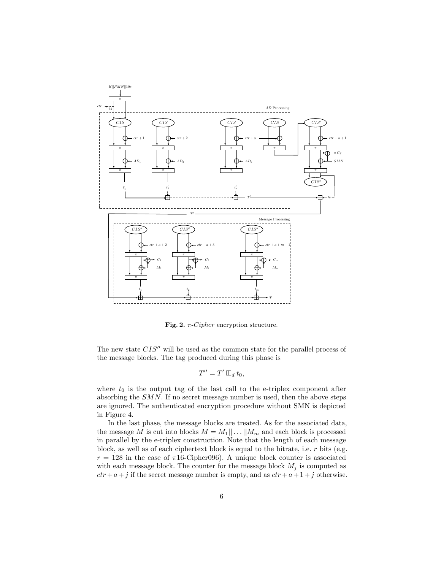

Fig. 2.  $\pi$ -*Cipher* encryption structure.

The new state  $CIS''$  will be used as the common state for the parallel process of the message blocks. The tag produced during this phase is

$$
T''=T'\boxplus_d t_0,
$$

where  $t_0$  is the output tag of the last call to the e-triplex component after absorbing the SMN. If no secret message number is used, then the above steps are ignored. The authenticated encryption procedure without SMN is depicted in Figure 4.

In the last phase, the message blocks are treated. As for the associated data, the message M is cut into blocks  $M = M_1 || \dots || M_m$  and each block is processed in parallel by the e-triplex construction. Note that the length of each message block, as well as of each ciphertext block is equal to the bitrate, i.e.  $r$  bits (e.g.  $r = 128$  in the case of  $\pi 16$ -Cipher096). A unique block counter is associated with each message block. The counter for the message block  $M_j$  is computed as  $ctr + a+j$  if the secret message number is empty, and as  $ctr + a+1+j$  otherwise.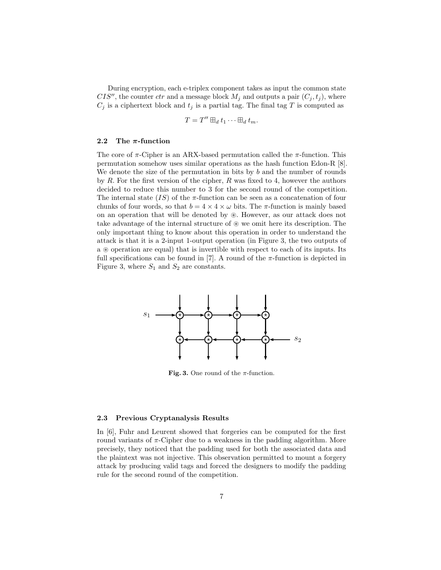During encryption, each e-triplex component takes as input the common state CIS'', the counter ctr and a message block  $M_j$  and outputs a pair  $(C_j, t_j)$ , where  $C_j$  is a ciphertext block and  $t_j$  is a partial tag. The final tag T is computed as

$$
T=T''\boxplus_d t_1\cdots \boxplus_d t_m.
$$

#### 2.2 The  $\pi$ -function

The core of  $\pi$ -Cipher is an ARX-based permutation called the  $\pi$ -function. This permutation somehow uses similar operations as the hash function Edon-R [8]. We denote the size of the permutation in bits by  $b$  and the number of rounds by  $R$ . For the first version of the cipher,  $R$  was fixed to 4, however the authors decided to reduce this number to 3 for the second round of the competition. The internal state  $(IS)$  of the  $\pi$ -function can be seen as a concatenation of four chunks of four words, so that  $b = 4 \times 4 \times \omega$  bits. The  $\pi$ -function is mainly based on an operation that will be denoted by  $\mathcal{D}$ . However, as our attack does not take advantage of the internal structure of  $\mathcal{D}$  we omit here its description. The only important thing to know about this operation in order to understand the attack is that it is a 2-input 1-output operation (in Figure 3, the two outputs of a  $\circledast$  operation are equal) that is invertible with respect to each of its inputs. Its full specifications can be found in [7]. A round of the  $\pi$ -function is depicted in Figure 3, where  $S_1$  and  $S_2$  are constants.



Fig. 3. One round of the  $\pi$ -function.

#### 2.3 Previous Cryptanalysis Results

In [6], Fuhr and Leurent showed that forgeries can be computed for the first round variants of π-Cipher due to a weakness in the padding algorithm. More precisely, they noticed that the padding used for both the associated data and the plaintext was not injective. This observation permitted to mount a forgery attack by producing valid tags and forced the designers to modify the padding rule for the second round of the competition.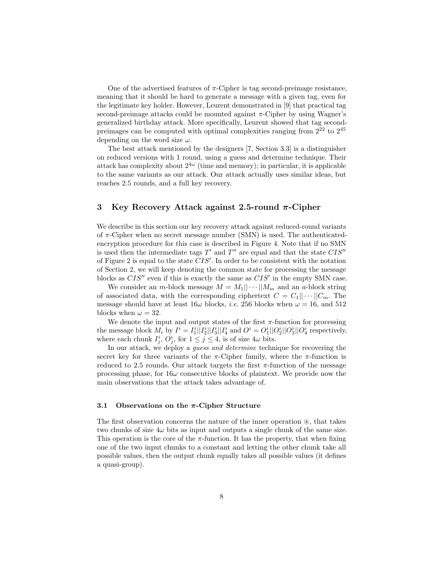One of the advertised features of  $\pi$ -Cipher is tag second-preimage resistance, meaning that it should be hard to generate a message with a given tag, even for the legitimate key holder. However, Leurent demonstrated in [9] that practical tag second-preimage attacks could be mounted against  $\pi$ -Cipher by using Wagner's generalized birthday attack. More specifically, Leurent showed that tag secondpreimages can be computed with optimal complexities ranging from  $2^{22}$  to  $2^{45}$ depending on the word size  $\omega$ .

The best attack mentioned by the designers [7, Section 3.3] is a distinguisher on reduced versions with 1 round, using a guess and determine technique. Their attack has complexity about  $2^{4\omega}$  (time and memory); in particular, it is applicable to the same variants as our attack. Our attack actually uses similar ideas, but reaches 2.5 rounds, and a full key recovery.

## 3 Key Recovery Attack against 2.5-round  $\pi$ -Cipher

We describe in this section our key recovery attack against reduced-round variants of  $\pi$ -Cipher when no secret message number (SMN) is used. The authenticatedencryption procedure for this case is described in Figure 4. Note that if no SMN is used then the intermediate tags  $T'$  and  $T''$  are equal and that the state  $CIS''$ of Figure 2 is equal to the state  $CIS'$ . In order to be consistent with the notation of Section 2, we will keep denoting the common state for processing the message blocks as  $CIS''$  even if this is exactly the same as  $CIS'$  in the empty SMN case.

We consider an *m*-block message  $M = M_1 || \cdots || M_m$  and an *a*-block string of associated data, with the corresponding ciphertext  $C = C_1 || \cdots ||C_m$ . The message should have at least  $16\omega$  blocks, *i.e.* 256 blocks when  $\omega = 16$ , and 512 blocks when  $\omega = 32$ .

We denote the input and output states of the first  $\pi$ -function for processing the message block  $M_i$  by  $I^i = I_1^i ||I_2^i||I_3^i||I_4^i$  and  $O^i = O_1^i ||O_2^i||O_3^i||O_4^i$  respectively, where each chunk  $I_j^i$ ,  $O_j^i$ , for  $1 \leq j \leq 4$ , is of size  $4\omega$  bits.

In our attack, we deploy a guess and determine technique for recovering the secret key for three variants of the  $\pi$ -Cipher family, where the  $\pi$ -function is reduced to 2.5 rounds. Our attack targets the first  $\pi$ -function of the message processing phase, for  $16\omega$  consecutive blocks of plaintext. We provide now the main observations that the attack takes advantage of.

#### 3.1 Observations on the  $\pi$ -Cipher Structure

The first observation concerns the nature of the inner operation  $\mathcal{F}$ , that takes two chunks of size  $4\omega$  bits as input and outputs a single chunk of the same size. This operation is the core of the  $\pi$ -function. It has the property, that when fixing one of the two input chunks to a constant and letting the other chunk take all possible values, then the output chunk equally takes all possible values (it defines a quasi-group).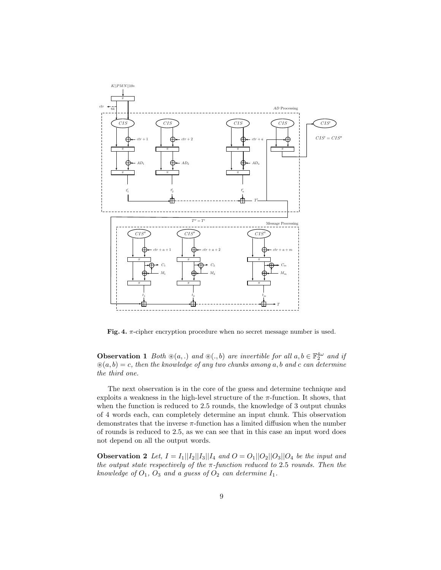

Fig. 4.  $\pi$ -cipher encryption procedure when no secret message number is used.

**Observation 1** Both  $\mathcal{B}(a,.)$  and  $\mathcal{B}(.,b)$  are invertible for all  $a, b \in \mathbb{F}_2^{4\omega}$  and if  $\mathcal{B}(a, b) = c$ , then the knowledge of any two chunks among a, b and c can determine the third one.

The next observation is in the core of the guess and determine technique and exploits a weakness in the high-level structure of the  $\pi$ -function. It shows, that when the function is reduced to 2.5 rounds, the knowledge of 3 output chunks of 4 words each, can completely determine an input chunk. This observation demonstrates that the inverse  $\pi$ -function has a limited diffusion when the number of rounds is reduced to 2.5, as we can see that in this case an input word does not depend on all the output words.

**Observation 2** Let,  $I = I_1||I_2||I_3||I_4$  and  $O = O_1||O_2||O_3||O_4$  be the input and the output state respectively of the  $\pi$ -function reduced to 2.5 rounds. Then the knowledge of  $O_1$ ,  $O_3$  and a guess of  $O_2$  can determine  $I_1$ .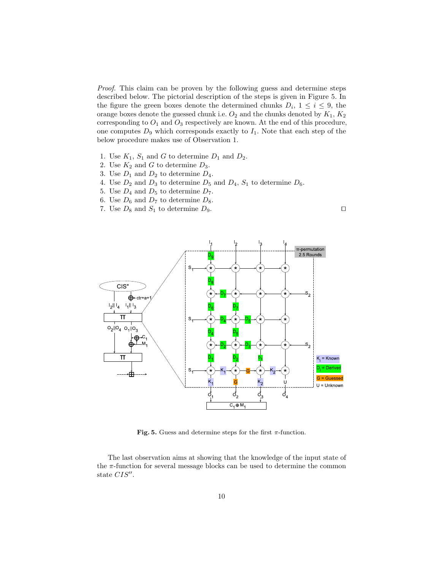Proof. This claim can be proven by the following guess and determine steps described below. The pictorial description of the steps is given in Figure 5. In the figure the green boxes denote the determined chunks  $D_i$ ,  $1 \leq i \leq 9$ , the orange boxes denote the guessed chunk i.e.  ${\cal O}_2$  and the chunks denoted by  $K_1,\,K_2$ corresponding to  $O_1$  and  $O_3$  respectively are known. At the end of this procedure, one computes  $D_9$  which corresponds exactly to  $I_1$ . Note that each step of the below procedure makes use of Observation 1.

- 1. Use  $K_1$ ,  $S_1$  and G to determine  $D_1$  and  $D_2$ .
- 2. Use  $K_2$  and G to determine  $D_3$ .
- 3. Use  $D_1$  and  $D_2$  to determine  $D_4$ .
- 4. Use  $D_2$  and  $D_3$  to determine  $D_5$  and  $D_4$ ,  $S_1$  to determine  $D_6$ .
- 5. Use  $D_4$  and  $D_5$  to determine  $D_7$ .
- 6. Use  $D_6$  and  $D_7$  to determine  $D_8$ .
- 7. Use  $D_8$  and  $S_1$  to determine  $D_9$ .



Fig. 5. Guess and determine steps for the first  $\pi$ -function.

The last observation aims at showing that the knowledge of the input state of the  $\pi$ -function for several message blocks can be used to determine the common state  $CIS''$ .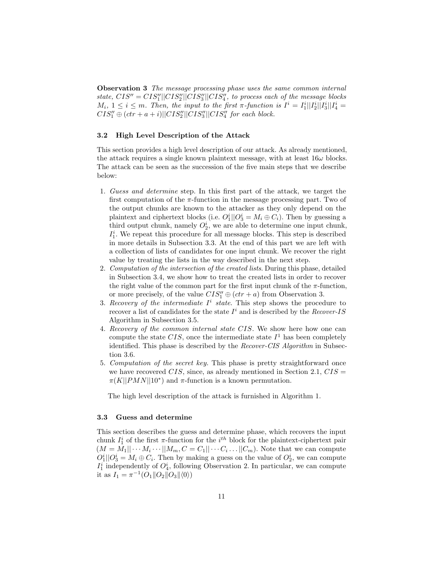Observation 3 The message processing phase uses the same common internal state,  $CIS'' = CIS''_1||CIS''_2||CIS''_3||CIS''_4$ , to process each of the message blocks  $M_i, 1 \leq i \leq m$ . Then, the input to the first  $\pi$ -function is  $I^i = I_1^i||I_2^i||I_3^i||I_4^i =$  $CIS''_1 \oplus (ctr + a + i)||CIS''_2||CIS''_3||CIS''_4$  for each block.

### 3.2 High Level Description of the Attack

This section provides a high level description of our attack. As already mentioned, the attack requires a single known plaintext message, with at least  $16\omega$  blocks. The attack can be seen as the succession of the five main steps that we describe below:

- 1. Guess and determine step. In this first part of the attack, we target the first computation of the  $\pi$ -function in the message processing part. Two of the output chunks are known to the attacker as they only depend on the plaintext and ciphertext blocks (i.e.  $O_1^i || O_3^i = M_i \oplus C_i$ ). Then by guessing a third output chunk, namely  $O_2^i$ , we are able to determine one input chunk,  $I_1^i$ . We repeat this procedure for all message blocks. This step is described in more details in Subsection 3.3. At the end of this part we are left with a collection of lists of candidates for one input chunk. We recover the right value by treating the lists in the way described in the next step.
- 2. Computation of the intersection of the created lists. During this phase, detailed in Subsection 3.4, we show how to treat the created lists in order to recover the right value of the common part for the first input chunk of the  $\pi$ -function, or more precisely, of the value  $CIS''_1 \oplus (ctr + a)$  from Observation 3.
- 3. Recovery of the intermediate  $I^i$  state. This step shows the procedure to recover a list of candidates for the state  $I^i$  and is described by the *Recover-IS* Algorithm in Subsection 3.5.
- 4. Recovery of the common internal state CIS. We show here how one can compute the state CIS, once the intermediate state  $I<sup>1</sup>$  has been completely identified. This phase is described by the *Recover-CIS Algorithm* in Subsection 3.6.
- 5. Computation of the secret key. This phase is pretty straightforward once we have recovered CIS, since, as already mentioned in Section 2.1,  $CIS =$  $\pi(K||PMN||10^*)$  and  $\pi$ -function is a known permutation.

The high level description of the attack is furnished in Algorithm 1.

#### 3.3 Guess and determine

This section describes the guess and determine phase, which recovers the input chunk  $I_1^i$  of the first  $\pi$ -function for the  $i^{th}$  block for the plaintext-ciphertext pair  $(M = M_1 || \cdots M_i \cdots || M_m, C = C_1 || \cdots C_i \cdots || C_m)$ . Note that we can compute  $O_1^i||O_3^i = M_i \oplus C_i$ . Then by making a guess on the value of  $O_2^i$ , we can compute  $I_1^i$  independently of  $O_4^i$ , following Observation 2. In particular, we can compute it as  $I_1 = \pi^{-1}(O_1 \| O_2 \| O_3 \| \langle 0 \rangle)$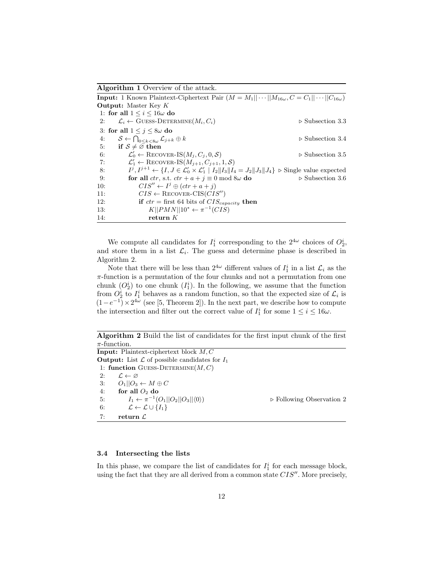Algorithm 1 Overview of the attack.

**Input:** 1 Known Plaintext-Ciphertext Pair  $(M = M_1 || \cdots || M_{16\omega}, C = C_1 || \cdots || C_{16\omega})$ Output: Master Key K 1: for all  $1 \leq i \leq 16\omega$  do 2:  $\mathcal{L}_i \leftarrow \text{GUESS-DEFERMINE}(M_i, C_i)$   $\triangleright$  Subsection 3.3 3: for all  $1 \leq j \leq 8\omega$  do 4:  $S \leftarrow \bigcap_{0 \leq k < 8\omega} \mathcal{L}_{j+k} \oplus k$   $\triangleright$  Subsection 3.4 5: if  $S \neq \overline{\emptyset}$  then 6:  $\mathcal{L}'_0 \leftarrow \text{RECOVER-IS}(M_j, C_j, 0, \mathcal{S})$   $\triangleright$  Subsection 3.5 7:  $\mathcal{L}'_1 \leftarrow \text{RECOVER-IS}(M_{j+1}, C_{j+1}, 1, \mathcal{S})$ 8:  $j, I^{j+1} \leftarrow \{I, J \in \mathcal{L}'_0 \times \mathcal{L}'_1 \mid I_2 \|I_3\|I_4 = J_2 \|J_3\|J_4\} \triangleright \text{Single value expected}$ 9: **for all**  $ctr$ , s.t.  $ctr + a + j \equiv 0 \mod 8\omega$  **do**  $\triangleright$  Subsection 3.6 10:  $CIS'' \leftarrow I^j \oplus (ctr + a + j)$ 11:  $CIS \leftarrow \text{RECOVER-CIS}(CIS'')$ 12: **if**  $ctr =$  first 64 bits of  $CIS_{capacity}$  then 13:  $K||PMN||10^* \leftarrow \pi^{-1}(CIS)$ 14: return K

We compute all candidates for  $I_1^i$  corresponding to the  $2^{4\omega}$  choices of  $O_2^i$ , and store them in a list  $\mathcal{L}_i$ . The guess and determine phase is described in Algorithm 2.

Note that there will be less than  $2^{4\omega}$  different values of  $I_1^i$  in a list  $\mathcal{L}_i$  as the  $\pi$ -function is a permutation of the four chunks and not a permutation from one chunk  $(O_2^i)$  to one chunk  $(I_1^i)$ . In the following, we assume that the function from  $O_2^i$  to  $I_1^i$  behaves as a random function, so that the expected size of  $\mathcal{L}_i$  is  $(1-e^{-1}) \times 2^{4\omega}$  (see [5, Theorem 2]). In the next part, we describe how to compute the intersection and filter out the correct value of  $I_1^i$  for some  $1 \le i \le 16\omega$ .

Algorithm 2 Build the list of candidates for the first input chunk of the first  $\pi$ -function.

Input: Plaintext-ciphertext block M, C **Output:** List  $\mathcal L$  of possible candidates for  $I_1$ 1: function GUESS-DETERMINE $(M, C)$ 2:  $\mathcal{L} \leftarrow \varnothing$ 3:  $O_1||O_3 \leftarrow M \oplus C$ 4: for all  $O_2$  do 5:  $I_1 \leftarrow \pi^{-1}$  $\triangleright$  Following Observation 2 6:  $\mathcal{L} \leftarrow \mathcal{L} \cup \{I_1\}$ 7: return  $\mathcal{L}$ 

#### 3.4 Intersecting the lists

In this phase, we compare the list of candidates for  $I_1^i$  for each message block, using the fact that they are all derived from a common state  $CIS''$ . More precisely,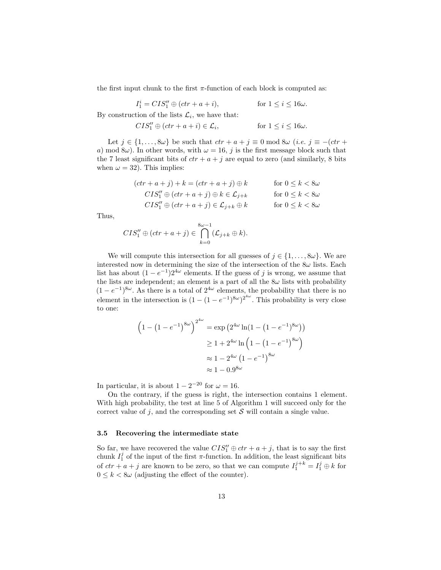the first input chunk to the first  $\pi$ -function of each block is computed as:

$$
I_1^i = CIS_1'' \oplus (ctr + a + i),
$$

for  $1 \leq i \leq 16\omega$ .

By construction of the lists  $\mathcal{L}_i$ , we have that:

$$
CIS_1'' \oplus (ctr + a + i) \in \mathcal{L}_i, \qquad \text{for } 1 \le i \le 16\omega.
$$

Let  $j \in \{1, \ldots, 8\omega\}$  be such that  $ctr + a + j \equiv 0 \mod 8\omega$  (*i.e.*  $j \equiv -(ctr +$ a) mod 8 $\omega$ ). In other words, with  $\omega = 16$ , j is the first message block such that the 7 least significant bits of  $ctr + a + j$  are equal to zero (and similarly, 8 bits when  $\omega = 32$ ). This implies:

$$
(ctr + a + j) + k = (ctr + a + j) \oplus k \qquad \text{for } 0 \le k < 8\omega
$$
  
\n
$$
CIS''_1 \oplus (ctr + a + j) \oplus k \in \mathcal{L}_{j+k} \qquad \text{for } 0 \le k < 8\omega
$$
  
\n
$$
CIS''_1 \oplus (ctr + a + j) \in \mathcal{L}_{j+k} \oplus k \qquad \text{for } 0 \le k < 8\omega
$$

Thus,

$$
CIS_{1}^{"}\oplus (ctr+a+j)\in \bigcap_{k=0}^{8\omega-1}(\mathcal{L}_{j+k}\oplus k).
$$

We will compute this intersection for all guesses of  $j \in \{1, \ldots, 8\omega\}$ . We are interested now in determining the size of the intersection of the  $8\omega$  lists. Each list has about  $(1 - e^{-1})2^{4\omega}$  elements. If the guess of j is wrong, we assume that the lists are independent; an element is a part of all the  $8\omega$  lists with probability  $(1-e^{-1})^{8\omega}$ . As there is a total of  $2^{4\omega}$  elements, the probability that there is no element in the intersection is  $(1 - (1 - e^{-1})^{8\omega})^{2^{4\omega}}$ . This probability is very close to one:

$$
(1 - (1 - e^{-1})^{8\omega})^{2^{4\omega}} = \exp(2^{4\omega} \ln(1 - (1 - e^{-1})^{8\omega}))
$$
  
 
$$
\geq 1 + 2^{4\omega} \ln(1 - (1 - e^{-1})^{8\omega})
$$
  
 
$$
\approx 1 - 2^{4\omega} (1 - e^{-1})^{8\omega}
$$
  
 
$$
\approx 1 - 0.9^{8\omega}
$$

In particular, it is about  $1 - 2^{-20}$  for  $\omega = 16$ .

On the contrary, if the guess is right, the intersection contains 1 element. With high probability, the test at line 5 of Algorithm 1 will succeed only for the correct value of j, and the corresponding set  $S$  will contain a single value.

### 3.5 Recovering the intermediate state

So far, we have recovered the value  $CIS''_1 \oplus \text{ctr} + a + j$ , that is to say the first chunk  $I_1^j$  of the input of the first  $\pi$ -function. In addition, the least significant bits of  $ctr + a + j$  are known to be zero, so that we can compute  $I_1^{j+k} = I_1^j \oplus k$  for  $0 \leq k < 8\omega$  (adjusting the effect of the counter).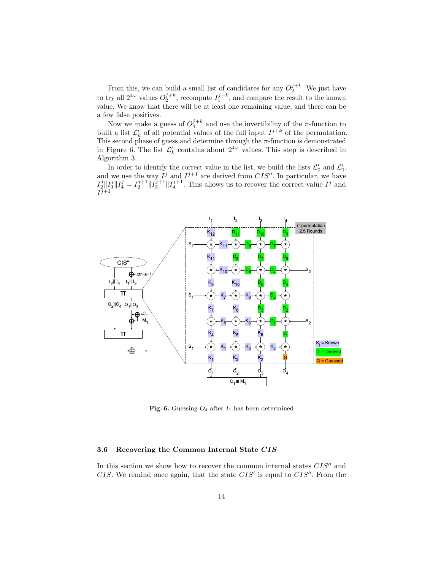From this, we can build a small list of candidates for any  $O_2^{j+k}$ . We just have to try all  $2^{4\omega}$  values  $O_2^{j+k}$ , recompute  $I_1^{j+k}$ , and compare the result to the known value. We know that there will be at least one remaining value, and there can be a few false positives.

Now we make a guess of  $O_4^{j+k}$  and use the invertibility of the  $\pi$ -function to built a list  $\mathcal{L}'_k$  of all potential values of the full input  $I^{j+k}$  of the permutation. This second phase of guess and determine through the  $\pi$ -function is demonstrated in Figure 6. The list  $\mathcal{L}'_k$  contains about  $2^{4\omega}$  values. This step is described in Algorithm 3.

In order to identify the correct value in the list, we build the lists  $\mathcal{L}'_0$  and  $\mathcal{L}'_1$ ,  $\alpha'$  and  $\mathcal{L}'_1$ and we use the way  $I^j$  and  $I^{j+1}$  are derived from  $CIS''$ . In particular, we have  $I_2^j\|I_3^j\|I_4^j = I_2^{j+1}\|I_3^{j+1}\|I_4^{j+1}$ . This allows us to recover the correct value  $I^j$  and  $I^{j+1}.$ 



Fig. 6. Guessing  $O_4$  after  $I_1$  has been determined

### 3.6 Recovering the Common Internal State CIS

In this section we show how to recover the common internal states  $CIS''$  and CIS. We remind once again, that the state  $CIS'$  is equal to  $CIS''$ . From the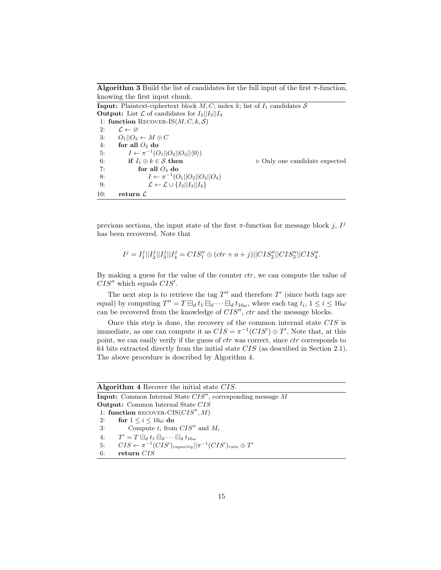**Algorithm 3** Build the list of candidates for the full input of the first  $\pi$ -function, knowing the first input chunk.

**Input:** Plaintext-ciphertext block  $M, C$ ; index k; list of  $I_1$  candidates S **Output:** List  $\mathcal{L}$  of candidates for  $I_2||I_3||I_4$ 1: function RECOVER-IS $(M, C, k, S)$ 2:  $\mathcal{L} \leftarrow \varnothing$ 3:  $O_1||O_3 \leftarrow M \oplus C$ 4: for all  $O_2$  do 5:  $I \leftarrow \pi^{-1}(O_1||O_2||O_3||\langle 0 \rangle)$ 6: if  $I_1 \oplus k \in \mathcal{S}$  then  $\triangleright$  Only one candidate expected 7: for all  $O_4$  do 8:  $I \leftarrow \pi^{-1}(O_1||O_2||O_3||O_4)$ 9:  $\mathcal{L} \leftarrow \mathcal{L} \cup \{I_2 || I_3 || I_4\}$ 10: return  $\mathcal L$ 

previous sections, the input state of the first  $\pi$ -function for message block j,  $I^j$ has been recovered. Note that

$$
I^j = I_1^j ||I_2^j||I_3^j||I_4^j = CIS_1'' \oplus (ctr + a + j) ||CIS_2''||CIS_3''||CIS_4''.
$$

By making a guess for the value of the counter  $ctr$ , we can compute the value of  $CIS''$  which equals  $CIS'$ .

The next step is to retrieve the tag  $T''$  and therefore  $T'$  (since both tags are equal) by computing  $T'' = T \boxminus_d t_1 \boxminus_d \cdots \boxminus_d t_{16\omega}$ , where each tag  $t_i$ ,  $1 \leq i \leq 16\omega$ can be recovered from the knowledge of  $CIS''$ ,  $ctr$  and the message blocks.

Once this step is done, the recovery of the common internal state CIS is immediate, as one can compute it as  $CIS = \pi^{-1}(CIS') \oplus T'$ . Note that, at this point, we can easily verify if the guess of *ctr* was correct, since *ctr* corresponds to 64 bits extracted directly from the initial state CIS (as described in Section 2.1). The above procedure is described by Algorithm 4.

|                                          | <b>Algorithm 4</b> Recover the initial state CIS.                             |  |  |  |  |
|------------------------------------------|-------------------------------------------------------------------------------|--|--|--|--|
|                                          | <b>Input:</b> Common Internal State $CIS''$ , corresponding message M         |  |  |  |  |
| <b>Output:</b> Common Internal State CIS |                                                                               |  |  |  |  |
| 1: function RECOVER-CIS( $CIS'', M$ )    |                                                                               |  |  |  |  |
| 2:                                       | for $1 \leq i \leq 16\omega$ do                                               |  |  |  |  |
| 3:                                       | Compute $t_i$ from $CIS''$ and $M_i$                                          |  |  |  |  |
| 4:                                       | $T' = T \boxminus_d t_1 \boxminus_d \cdots \boxminus_d t_{16\omega}$          |  |  |  |  |
| 5:                                       | $CIS \leftarrow \pi^{-1}(CIS')_{capacity}    \pi^{-1}(CIS')_{rate} \oplus T'$ |  |  |  |  |
| 6:                                       | return $CIS$                                                                  |  |  |  |  |
|                                          |                                                                               |  |  |  |  |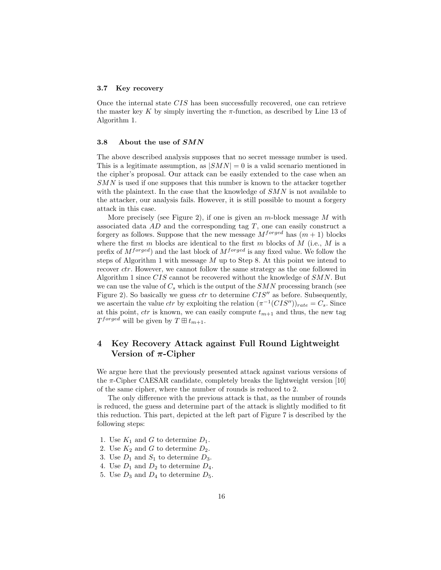#### 3.7 Key recovery

Once the internal state CIS has been successfully recovered, one can retrieve the master key K by simply inverting the  $\pi$ -function, as described by Line 13 of Algorithm 1.

#### 3.8 About the use of SMN

The above described analysis supposes that no secret message number is used. This is a legitimate assumption, as  $|SMN| = 0$  is a valid scenario mentioned in the cipher's proposal. Our attack can be easily extended to the case when an SMN is used if one supposes that this number is known to the attacker together with the plaintext. In the case that the knowledge of  $SMN$  is not available to the attacker, our analysis fails. However, it is still possible to mount a forgery attack in this case.

More precisely (see Figure 2), if one is given an  $m$ -block message  $M$  with associated data AD and the corresponding tag T, one can easily construct a forgery as follows. Suppose that the new message  $M^{forget}$  has  $(m+1)$  blocks where the first  $m$  blocks are identical to the first  $m$  blocks of  $\tilde{M}$  (i.e.,  $M$  is a prefix of  $M^{forget}$ ) and the last block of  $M^{forget}$  is any fixed value. We follow the steps of Algorithm 1 with message  $M$  up to Step 8. At this point we intend to recover *ctr*. However, we cannot follow the same strategy as the one followed in Algorithm 1 since  $CIS$  cannot be recovered without the knowledge of  $SMN$ . But we can use the value of  $C_s$  which is the output of the SMN processing branch (see Figure 2). So basically we guess  $ctr$  to determine  $CIS''$  as before. Subsequently, we ascertain the value ctr by exploiting the relation  $(\pi^{-1}(CIS''))_{rate} = C_s$ . Since at this point,  $ctr$  is known, we can easily compute  $t_{m+1}$  and thus, the new tag  $T^{forget}$  will be given by  $T \boxplus t_{m+1}$ .

## 4 Key Recovery Attack against Full Round Lightweight Version of  $\pi$ -Cipher

We argue here that the previously presented attack against various versions of the  $\pi$ -Cipher CAESAR candidate, completely breaks the lightweight version [10] of the same cipher, where the number of rounds is reduced to 2.

The only difference with the previous attack is that, as the number of rounds is reduced, the guess and determine part of the attack is slightly modified to fit this reduction. This part, depicted at the left part of Figure 7 is described by the following steps:

- 1. Use  $K_1$  and G to determine  $D_1$ .
- 2. Use  $K_2$  and G to determine  $D_2$ .
- 3. Use  $D_1$  and  $S_1$  to determine  $D_3$ .
- 4. Use  $D_1$  and  $D_2$  to determine  $D_4$ .
- 5. Use  $D_3$  and  $D_4$  to determine  $D_5$ .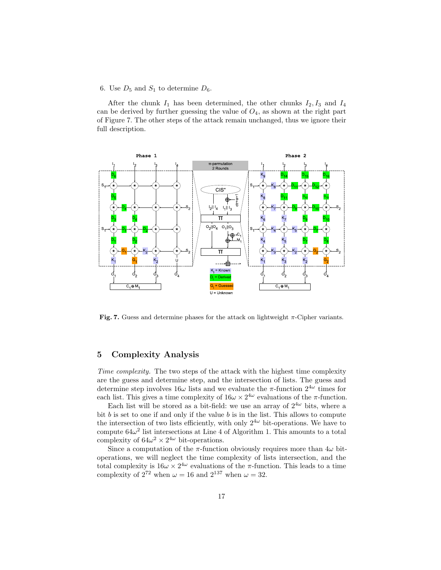### 6. Use  $D_5$  and  $S_1$  to determine  $D_6$ .

After the chunk  $I_1$  has been determined, the other chunks  $I_2, I_3$  and  $I_4$ can be derived by further guessing the value of  $O<sub>4</sub>$ , as shown at the right part of Figure 7. The other steps of the attack remain unchanged, thus we ignore their full description.



Fig. 7. Guess and determine phases for the attack on lightweight  $\pi$ -Cipher variants.

## 5 Complexity Analysis

Time complexity. The two steps of the attack with the highest time complexity are the guess and determine step, and the intersection of lists. The guess and determine step involves  $16\omega$  lists and we evaluate the  $\pi$ -function  $2^{4\omega}$  times for each list. This gives a time complexity of  $16\omega \times 2^{4\omega}$  evaluations of the  $\pi$ -function.

Each list will be stored as a bit-field: we use an array of  $2^{4\omega}$  bits, where a bit  $b$  is set to one if and only if the value  $b$  is in the list. This allows to compute the intersection of two lists efficiently, with only  $2^{4\omega}$  bit-operations. We have to compute  $64\omega^2$  list intersections at Line 4 of Algorithm 1. This amounts to a total complexity of  $64\omega^2 \times 2^{4\omega}$  bit-operations.

Since a computation of the  $\pi$ -function obviously requires more than  $4\omega$  bitoperations, we will neglect the time complexity of lists intersection, and the total complexity is  $16\omega \times 2^{4\omega}$  evaluations of the π-function. This leads to a time complexity of  $2^{72}$  when  $\omega = 16$  and  $2^{137}$  when  $\omega = 32$ .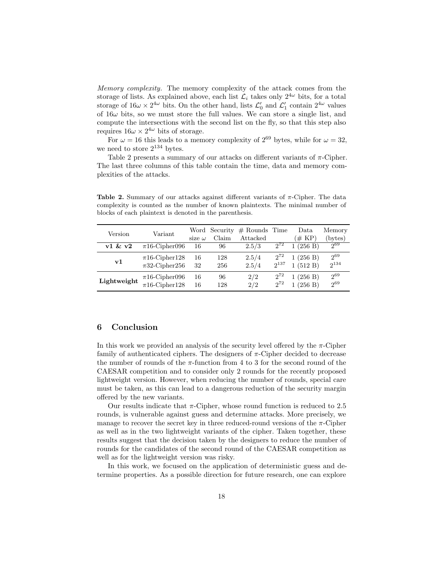Memory complexity. The memory complexity of the attack comes from the storage of lists. As explained above, each list  $\mathcal{L}_i$  takes only  $2^{4\omega}$  bits, for a total storage of  $16\omega \times 2^{4\omega}$  bits. On the other hand, lists  $\mathcal{L}'_0$  and  $\mathcal{L}'_1$  contain  $2^{4\omega}$  values of  $16\omega$  bits, so we must store the full values. We can store a single list, and compute the intersections with the second list on the fly, so that this step also requires  $16\omega \times 2^{4\omega}$  bits of storage.

For  $\omega = 16$  this leads to a memory complexity of  $2^{69}$  bytes, while for  $\omega = 32$ , we need to store  $2^{134}$  bytes.

Table 2 presents a summary of our attacks on different variants of  $\pi$ -Cipher. The last three columns of this table contain the time, data and memory complexities of the attacks.

| Version     | Variant            |               | Word Security | $#$ Rounds | Time      | Data                | Memory    |
|-------------|--------------------|---------------|---------------|------------|-----------|---------------------|-----------|
|             |                    | size $\omega$ | Claim         | Attacked   |           | $(\#\ K\mathrm{P})$ | (bytes)   |
| v1 & w2     | $\pi$ 16-Cipher096 | 16            | 96            | 2.5/3      | $2^{72}$  | (256 B)             | $2^{69}$  |
| ${\bf v1}$  | $\pi$ 16-Cipher128 | 16            | 128           | 2.5/4      | $2^{72}$  | (256 B)             | $2^{69}$  |
|             | $\pi$ 32-Cipher256 | 32            | 256           | 2.5/4      | $2^{137}$ | 1(512 B)            | $2^{134}$ |
| Lightweight | $\pi$ 16-Cipher096 | 16            | 96            | 2/2        | $2^{72}$  | (256 B)             | $2^{69}$  |
|             | $\pi$ 16-Cipher128 | 16            | 128           | 2/2        | $2^{72}$  | (256 B)             | $2^{69}$  |

Table 2. Summary of our attacks against different variants of  $\pi$ -Cipher. The data complexity is counted as the number of known plaintexts. The minimal number of blocks of each plaintext is denoted in the parenthesis.

### 6 Conclusion

In this work we provided an analysis of the security level offered by the  $\pi$ -Cipher family of authenticated ciphers. The designers of  $\pi$ -Cipher decided to decrease the number of rounds of the  $\pi$ -function from 4 to 3 for the second round of the CAESAR competition and to consider only 2 rounds for the recently proposed lightweight version. However, when reducing the number of rounds, special care must be taken, as this can lead to a dangerous reduction of the security margin offered by the new variants.

Our results indicate that  $\pi$ -Cipher, whose round function is reduced to 2.5 rounds, is vulnerable against guess and determine attacks. More precisely, we manage to recover the secret key in three reduced-round versions of the  $\pi$ -Cipher as well as in the two lightweight variants of the cipher. Taken together, these results suggest that the decision taken by the designers to reduce the number of rounds for the candidates of the second round of the CAESAR competition as well as for the lightweight version was risky.

In this work, we focused on the application of deterministic guess and determine properties. As a possible direction for future research, one can explore